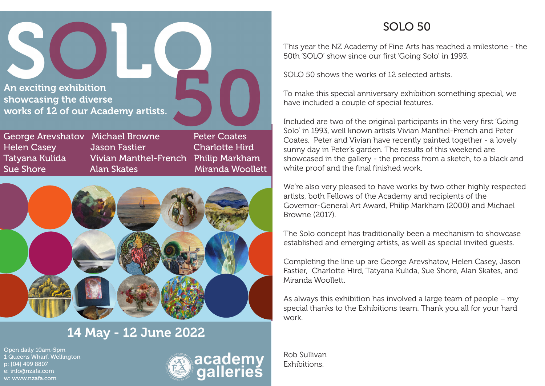An exciting exhibition showcasing the diverse works of 12 of our Academy artists.

George Arevshatov Michael Browne Peter Coates Helen Casey Jason Fastier Charlotte Hird Tatyana Kulida Vivian Manthel-French Philip Markham Sue Shore **Alan Skates** Miranda Woollett



# 14 May - 12 June 2022

Open daily 10am-5pm 1 Queens Wharf, Wellington p: [04] 499 8807 e: info@nzafa.com w: www.nzafa.com



#### SOLO 50

This year the NZ Academy of Fine Arts has reached a milestone - the 50th 'SOLO' show since our first 'Going Solo' in 1993.

SOLO 50 shows the works of 12 selected artists.

To make this special anniversary exhibition something special, we have included a couple of special features.

Included are two of the original participants in the very first 'Going Solo' in 1993, well known artists Vivian Manthel-French and Peter Coates. Peter and Vivian have recently painted together - a lovely sunny day in Peter's garden. The results of this weekend are showcased in the gallery - the process from a sketch, to a black and white proof and the final finished work.

We're also very pleased to have works by two other highly respected artists, both Fellows of the Academy and recipients of the Governor-General Art Award, Philip Markham (2000) and Michael Browne (2017).

The Solo concept has traditionally been a mechanism to showcase established and emerging artists, as well as special invited guests.

Completing the line up are George Arevshatov, Helen Casey, Jason Fastier, Charlotte Hird, Tatyana Kulida, Sue Shore, Alan Skates, and Miranda Woollett.

As always this exhibition has involved a large team of people – my special thanks to the Exhibitions team. Thank you all for your hard work.

Rob Sullivan Exhibitions.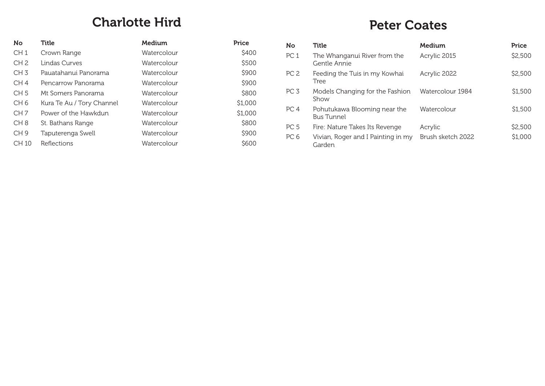## Charlotte Hird

| <b>No</b>       | Title                     | Medium      | Price   |
|-----------------|---------------------------|-------------|---------|
| CH <sub>1</sub> | Crown Range               | Watercolour | \$400   |
| CH <sub>2</sub> | Lindas Curves             | Watercolour | \$500   |
| CH <sub>3</sub> | Pauatahanui Panorama      | Watercolour | \$900   |
| CH <sub>4</sub> | Pencarrow Panorama        | Watercolour | \$900   |
| CH <sub>5</sub> | Mt Somers Panorama        | Watercolour | \$800   |
| CH <sub>6</sub> | Kura Te Au / Tory Channel | Watercolour | \$1,000 |
| CH <sub>7</sub> | Power of the Hawkdun      | Watercolour | \$1,000 |
| CH <sub>8</sub> | St. Bathans Range         | Watercolour | \$800   |
| CH <sub>9</sub> | Taputerenga Swell         | Watercolour | \$900   |
| CH 10           | Reflections               | Watercolour | \$600   |

#### Peter Coates

| <b>No</b>       | Title                                             | Medium            | Price   |
|-----------------|---------------------------------------------------|-------------------|---------|
| PC <sub>1</sub> | The Whanganui River from the<br>Gentle Annie      | Acrylic 2015      | \$2,500 |
| PC <sub>2</sub> | Feeding the Tuis in my Kowhai<br>Tree             | Acrylic 2022      | \$2,500 |
| PC <sub>3</sub> | Models Changing for the Fashion<br>Show           | Watercolour 1984  | \$1,500 |
| PC <sub>4</sub> | Pohutukawa Blooming near the<br><b>Bus Tunnel</b> | Watercolour       | \$1,500 |
| PC <sub>5</sub> | Fire: Nature Takes Its Revenge                    | Acrylic           | \$2,500 |
| PC <sub>6</sub> | Vivian, Roger and I Painting in my<br>Garden      | Brush sketch 2022 | \$1,000 |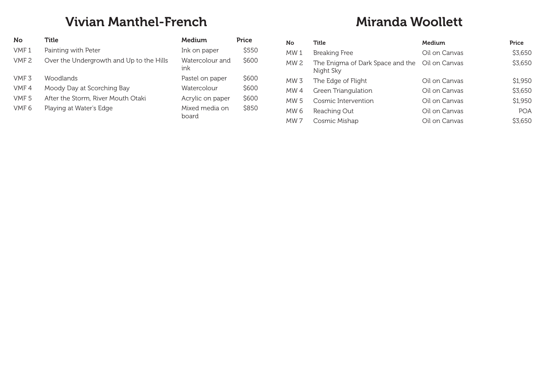## Vivian Manthel-French

| <b>No</b>        | Title                                    | Medium                  | Price |
|------------------|------------------------------------------|-------------------------|-------|
| VMF <sub>1</sub> | Painting with Peter                      | Ink on paper            | \$550 |
| VMF <sub>2</sub> | Over the Undergrowth and Up to the Hills | Watercolour and<br>ink  | \$600 |
| VMF <sub>3</sub> | Woodlands                                | Pastel on paper         | \$600 |
| VMF4             | Moody Day at Scorching Bay               | Watercolour             | \$600 |
| VMF <sub>5</sub> | After the Storm, River Mouth Otaki       | Acrylic on paper        | \$600 |
| VMF <sub>6</sub> | Playing at Water's Edge                  | Mixed media on<br>board | \$850 |

# Miranda Woollett

| No.             | Title                                                       | <b>Medium</b> | Price      |
|-----------------|-------------------------------------------------------------|---------------|------------|
| MW 1            | <b>Breaking Free</b>                                        | Oil on Canvas | \$3,650    |
| MW <sub>2</sub> | The Enigma of Dark Space and the Oil on Canvas<br>Night Sky |               | \$3,650    |
| MW 3            | The Edge of Flight                                          | Oil on Canvas | \$1,950    |
| MW 4            | Green Triangulation                                         | Oil on Canvas | \$3,650    |
| <b>MW5</b>      | Cosmic Intervention                                         | Oil on Canvas | \$1,950    |
| MW 6            | Reaching Out                                                | Oil on Canvas | <b>POA</b> |
| MW 7            | Cosmic Mishap                                               | Oil on Canvas | \$3,650    |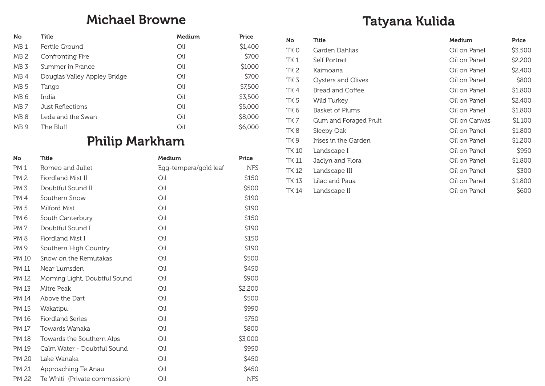#### Michael Browne

| No              | Title                        | Medium | Price   |
|-----------------|------------------------------|--------|---------|
| MB <sub>1</sub> | Fertile Ground               | Oil    | \$1,400 |
| MB <sub>2</sub> | Confronting Fire             | Oil    | \$700   |
| MB <sub>3</sub> | Summer in France             | Oil    | \$1000  |
| MB <sub>4</sub> | Douglas Valley Appley Bridge | Oil    | \$700   |
| MB <sub>5</sub> | Tango                        | Oil    | \$7,500 |
| MB <sub>6</sub> | India                        | Oil    | \$3,500 |
| MB 7            | Just Reflections             | Oil    | \$5,000 |
| MB <sub>8</sub> | Leda and the Swan            | Oil    | \$8,000 |
| MB <sub>9</sub> | The Bluff                    | Oil    | \$6,000 |
|                 |                              |        |         |

# Philip Markham

| No           | Title                         | Medium                | Price      |
|--------------|-------------------------------|-----------------------|------------|
| <b>PM1</b>   | Romeo and Juliet              | Egg-tempera/gold leaf | <b>NFS</b> |
| <b>PM2</b>   | Fiordland Mist II             | Oil                   | \$150      |
| PM 3         | Doubtful Sound II             | Oil                   | \$500      |
| PM 4         | Southern Snow                 | Oil                   | \$190      |
| PM 5         | Milford Mist                  | Oil                   | \$190      |
| PM 6         | South Canterbury              | Oil                   | \$150      |
| <b>PM7</b>   | Doubtful Sound I              | Oil                   | \$190      |
| <b>PM8</b>   | Fiordland Mist I              | Oil                   | \$150      |
| PM 9         | Southern High Country         | Oil                   | \$190      |
| <b>PM 10</b> | Snow on the Remutakas         | Oil                   | \$500      |
| PM 11        | Near Lumsden                  | Oil                   | \$450      |
| PM 12        | Morning Light, Doubtful Sound | Oil                   | \$900      |
| PM 13        | Mitre Peak                    | Oil                   | \$2,200    |
| PM 14        | Above the Dart                | Oil                   | \$500      |
| PM 15        | Wakatipu                      | Oil                   | \$990      |
| PM 16        | <b>Fiordland Series</b>       | Oil                   | \$750      |
| PM 17        | Towards Wanaka                | Oil                   | \$800      |
| <b>PM 18</b> | Towards the Southern Alps     | Oil                   | \$3,000    |
| PM 19        | Calm Water - Doubtful Sound   | Oil                   | \$950      |
| <b>PM 20</b> | Lake Wanaka                   | Oil                   | \$450      |
| PM 21        | Approaching Te Anau           | Oil                   | \$450      |
| PM 22        | Te Whiti (Private commission) | Oil                   | <b>NFS</b> |

# Tatyana Kulida

| No              | <b>Title</b>           | <b>Medium</b> | Price   |
|-----------------|------------------------|---------------|---------|
| TK 0            | Garden Dahlias         | Oil on Panel  | \$3,500 |
| TK <sub>1</sub> | Self Portrait          | Oil on Panel  | \$2,200 |
| TK <sub>2</sub> | Kaimoana               | Oil on Panel  | \$2,400 |
| TK 3            | Oysters and Olives     | Oil on Panel  | \$800   |
| TK 4            | Bread and Coffee       | Oil on Panel  | \$1,800 |
| TK 5            | Wild Turkey            | Oil on Panel  | \$2,400 |
| TK 6            | <b>Basket of Plums</b> | Oil on Panel  | \$1,800 |
| TK 7            | Gum and Foraged Fruit  | Oil on Canvas | \$1,100 |
| TK 8            | Sleepy Oak             | Oil on Panel  | \$1,800 |
| TK 9            | Irises in the Garden   | Oil on Panel  | \$1,200 |
| TK 10           | Landscape I            | Oil on Panel  | \$950   |
| TK 11           | Jaclyn and Flora       | Oil on Panel  | \$1,800 |
| TK 12           | Landscape III          | Oil on Panel  | \$300   |
| TK 13           | Lilac and Paua         | Oil on Panel  | \$1,800 |
| TK 14           | Landscape II           | Oil on Panel  | \$600   |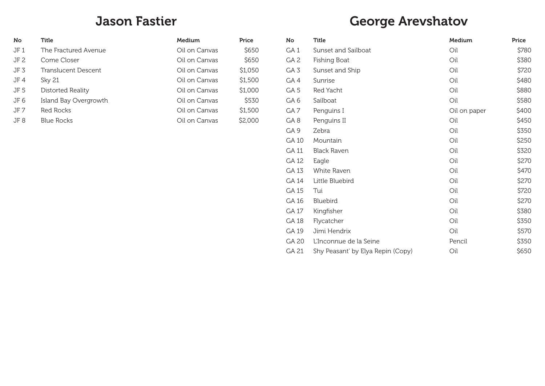#### Jason Fastier

| <b>No</b> | Title                 | Medium        | Price   |
|-----------|-----------------------|---------------|---------|
| JF1       | The Fractured Avenue  | Oil on Canvas | \$650   |
| JF 2      | Come Closer           | Oil on Canvas | \$650   |
| JF 3      | Translucent Descent   | Oil on Canvas | \$1,050 |
| JF 4      | Sky 21                | Oil on Canvas | \$1,500 |
| JF 5      | Distorted Reality     | Oil on Canvas | \$1,000 |
| JF 6      | Island Bay Overgrowth | Oil on Canvas | \$530   |
| JF 7      | Red Rocks             | Oil on Canvas | \$1,500 |
| JF 8      | <b>Blue Rocks</b>     | Oil on Canvas | \$2,000 |

# George Arevshatov

| No              | Title                             | Medium       | Price |
|-----------------|-----------------------------------|--------------|-------|
| GA <sub>1</sub> | Sunset and Sailboat               | Oil          | \$780 |
| GA <sub>2</sub> | <b>Fishing Boat</b>               | Oil          | \$380 |
| GA <sub>3</sub> | Sunset and Ship                   | Oil          | \$720 |
| GA4             | Sunrise                           | Oil          | \$480 |
| GA <sub>5</sub> | Red Yacht                         | Oil          | \$880 |
| GA <sub>6</sub> | Sailboat                          | Oil          | \$580 |
| GA7             | Penguins I                        | Oil on paper | \$400 |
| GA8             | Penguins II                       | Oil          | \$450 |
| GA <sub>9</sub> | Zebra                             | Oil          | \$350 |
| GA 10           | Mountain                          | Oil          | \$250 |
| <b>GA 11</b>    | <b>Black Raven</b>                | Oil          | \$320 |
| GA 12           | Eagle                             | Oil          | \$270 |
| GA 13           | White Raven                       | Oil          | \$470 |
| GA 14           | Little Bluebird                   | Oil          | \$270 |
| GA 15           | Tui                               | Oil          | \$720 |
| GA 16           | Bluebird                          | Oil          | \$270 |
| GA 17           | Kingfisher                        | Oil          | \$380 |
| GA 18           | Flycatcher                        | Oil          | \$350 |
| GA 19           | Jimi Hendrix                      | Oil          | \$570 |
| GA 20           | L'Inconnue de la Seine            | Pencil       | \$350 |
| GA 21           | Shy Peasant' by Elya Repin (Copy) | Oil          | \$650 |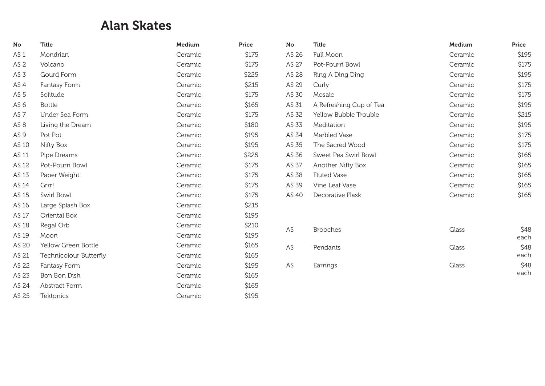### Alan Skates

| No              | <b>Title</b>           | Medium  | Price | <b>No</b> | <b>Title</b>            | Medium  | Price |
|-----------------|------------------------|---------|-------|-----------|-------------------------|---------|-------|
| AS <sub>1</sub> | Mondrian               | Ceramic | \$175 | AS 26     | Full Moon               | Ceramic | \$195 |
| AS <sub>2</sub> | Volcano                | Ceramic | \$175 | AS 27     | Pot-Pourri Bowl         | Ceramic | \$175 |
| AS <sub>3</sub> | Gourd Form             | Ceramic | \$225 | AS 28     | Ring A Ding Ding        | Ceramic | \$195 |
| AS <sub>4</sub> | Fantasy Form           | Ceramic | \$215 | AS 29     | Curly                   | Ceramic | \$175 |
| AS <sub>5</sub> | Solitude               | Ceramic | \$175 | AS 30     | Mosaic                  | Ceramic | \$175 |
| AS <sub>6</sub> | <b>Bottle</b>          | Ceramic | \$165 | AS 31     | A Refreshing Cup of Tea | Ceramic | \$195 |
| AS <sub>7</sub> | Under Sea Form         | Ceramic | \$175 | AS 32     | Yellow Bubble Trouble   | Ceramic | \$215 |
| AS <sub>8</sub> | Living the Dream       | Ceramic | \$180 | AS 33     | Meditation              | Ceramic | \$195 |
| AS <sub>9</sub> | Pot Pot                | Ceramic | \$195 | AS 34     | <b>Marbled Vase</b>     | Ceramic | \$175 |
| AS 10           | Nifty Box              | Ceramic | \$195 | AS 35     | The Sacred Wood         | Ceramic | \$175 |
| AS 11           | Pipe Dreams            | Ceramic | \$225 | AS 36     | Sweet Pea Swirl Bowl    | Ceramic | \$165 |
| AS 12           | Pot-Pourri Bowl        | Ceramic | \$175 | AS 37     | Another Nifty Box       | Ceramic | \$165 |
| AS 13           | Paper Weight           | Ceramic | \$175 | AS 38     | <b>Fluted Vase</b>      | Ceramic | \$165 |
| AS 14           | Grrr!                  | Ceramic | \$175 | AS 39     | Vine Leaf Vase          | Ceramic | \$165 |
| AS 15           | Swirl Bowl             | Ceramic | \$175 | AS 40     | Decorative Flask        | Ceramic | \$165 |
| AS 16           | Large Splash Box       | Ceramic | \$215 |           |                         |         |       |
| AS 17           | Oriental Box           | Ceramic | \$195 |           |                         |         |       |
| AS 18           | Regal Orb              | Ceramic | \$210 | AS        | <b>Brooches</b>         | Glass   | \$48  |
| AS 19           | Moon                   | Ceramic | \$195 |           |                         |         | each  |
| AS 20           | Yellow Green Bottle    | Ceramic | \$165 | AS        | Pendants                | Glass   | \$48  |
| AS 21           | Technicolour Butterfly | Ceramic | \$165 |           |                         |         | each  |
| AS 22           | Fantasy Form           | Ceramic | \$195 | AS        | Earrings                | Glass   | \$48  |
| AS 23           | Bon Bon Dish           | Ceramic | \$165 |           |                         |         | each  |
| AS 24           | <b>Abstract Form</b>   | Ceramic | \$165 |           |                         |         |       |
| AS 25           | <b>Tektonics</b>       | Ceramic | \$195 |           |                         |         |       |